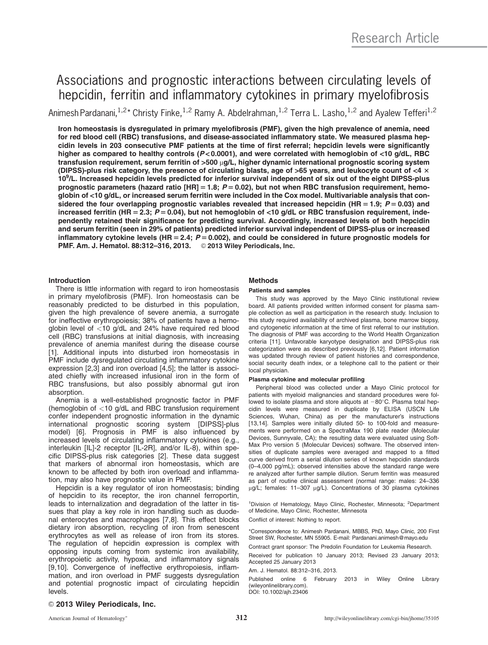# Associations and prognostic interactions between circulating levels of hepcidin, ferritin and inflammatory cytokines in primary myelofibrosis

Animesh Pardanani,<sup>1,2\*</sup> Christy Finke,<sup>1,2</sup> Ramy A. Abdelrahman,<sup>1,2</sup> Terra L. Lasho,<sup>1,2</sup> and Ayalew Tefferi<sup>1,2</sup>

Iron homeostasis is dysregulated in primary myelofibrosis (PMF), given the high prevalence of anemia, need for red blood cell (RBC) transfusions, and disease-associated inflammatory state. We measured plasma hepcidin levels in 203 consecutive PMF patients at the time of first referral; hepcidin levels were significantly higher as compared to healthy controls (P<0.0001), and were correlated with hemoglobin of <10 g/dL, RBC transfusion requirement, serum ferritin of >500  $\mu$ g/L, higher dynamic international prognostic scoring system (DIPSS)-plus risk category, the presence of circulating blasts, age of >65 years, and leukocyte count of <4  $\times$ 10<sup>9</sup>/L. Increased hepcidin levels predicted for inferior survival independent of six out of the eight DIPSS-plus prognostic parameters (hazard ratio  $[HR] = 1.8$ ;  $P = 0.02$ ), but not when RBC transfusion requirement, hemoglobin of <10 g/dL, or increased serum ferritin were included in the Cox model. Multivariable analysis that considered the four overlapping prognostic variables revealed that increased hepcidin (HR = 1.9;  $P = 0.03$ ) and increased ferritin (HR = 2.3;  $P = 0.04$ ), but not hemoglobin of <10 g/dL or RBC transfusion requirement, independently retained their significance for predicting survival. Accordingly, increased levels of both hepcidin and serum ferritin (seen in 29% of patients) predicted inferior survival independent of DIPSS-plus or increased inflammatory cytokine levels (HR = 2.4;  $P = 0.002$ ), and could be considered in future prognostic models for PMF. Am. J. Hematol. 88:312-316, 2013. © 2013 Wiley Periodicals, Inc.

# Introduction

There is little information with regard to iron homeostasis in primary myelofibrosis (PMF). Iron homeostasis can be reasonably predicted to be disturbed in this population, given the high prevalence of severe anemia, a surrogate for ineffective erythropoiesis; 38% of patients have a hemoglobin level of <10 g/dL and 24% have required red blood cell (RBC) transfusions at initial diagnosis, with increasing prevalence of anemia manifest during the disease course [1]. Additional inputs into disturbed iron homeostasis in PMF include dysregulated circulating inflammatory cytokine expression [2,3] and iron overload [4,5]; the latter is associated chiefly with increased infusional iron in the form of RBC transfusions, but also possibly abnormal gut iron absorption.

Anemia is a well-established prognostic factor in PMF (hemoglobin of <10 g/dL and RBC transfusion requirement confer independent prognostic information in the dynamic international prognostic scoring system [DIPSS]-plus model) [6]. Prognosis in PMF is also influenced by increased levels of circulating inflammatory cytokines (e.g., interleukin [IL]-2 receptor [IL-2R], and/or IL-8), within specific DIPSS-plus risk categories [2]. These data suggest that markers of abnormal iron homeostasis, which are known to be affected by both iron overload and inflammation, may also have prognostic value in PMF.

Hepcidin is a key regulator of iron homeostasis; binding of hepcidin to its receptor, the iron channel ferroportin, leads to internalization and degradation of the latter in tissues that play a key role in iron handling such as duodenal enterocytes and macrophages [7,8]. This effect blocks dietary iron absorption, recycling of iron from senescent erythrocytes as well as release of iron from its stores. The regulation of hepcidin expression is complex with opposing inputs coming from systemic iron availability, erythropoietic activity, hypoxia, and inflammatory signals [9,10]. Convergence of ineffective erythropoiesis, inflammation, and iron overload in PMF suggests dysregulation and potential prognostic impact of circulating hepcidin levels.

# **Methods**

## Patients and samples

This study was approved by the Mayo Clinic institutional review board. All patients provided written informed consent for plasma sample collection as well as participation in the research study. Inclusion to this study required availability of archived plasma, bone marrow biopsy, and cytogenetic information at the time of first referral to our institution. The diagnosis of PMF was according to the World Health Organization criteria [11]. Unfavorable karyotype designation and DIPSS-plus risk categorization were as described previously [6,12]. Patient information was updated through review of patient histories and correspondence, social security death index, or a telephone call to the patient or their local physician.

# Plasma cytokine and molecular profiling

Peripheral blood was collected under a Mayo Clinic protocol for patients with myeloid malignancies and standard procedures were followed to isolate plasma and store aliquots at  $-80^\circ$ C. Plasma total hepcidin levels were measured in duplicate by ELISA (USCN Life Sciences, Wuhan, China) as per the manufacturer's instructions [13,14]. Samples were initially diluted 50- to 100-fold and measurements were performed on a SpectraMax 190 plate reader (Molecular Devices, Sunnyvale, CA); the resulting data were evaluated using Soft-Max Pro version 5 (Molecular Devices) software. The observed intensities of duplicate samples were averaged and mapped to a fitted curve derived from a serial dilution series of known hepcidin standards (0–4,000 pg/mL); observed intensities above the standard range were re analyzed after further sample dilution. Serum ferritin was measured as part of routine clinical assessment (normal range: males: 24–336 µg/L; females: 11-307 µg/L). Concentrations of 30 plasma cytokines

<sup>1</sup>Division of Hematology, Mayo Clinic, Rochester, Minnesota; <sup>2</sup>Department of Medicine, Mayo Clinic, Rochester, Minnesota Conflict of interest: Nothing to report.

\*Correspondence to: Animesh Pardanani, MBBS, PhD, Mayo Clinic, 200 First Street SW, Rochester, MN 55905. E-mail: Pardanani.animesh@mayo.edu

Contract grant sponsor: The Predolin Foundation for Leukemia Research.

Received for publication 10 January 2013; Revised 23 January 2013; Accepted 25 January 2013

### Am. J. Hematol. 88:312–316, 2013.

Published online 6 February 2013 in Wiley Online Library (wileyonlinelibrary.com). DOI: 10.1002/ajh.23406

# © 2013 Wiley Periodicals, Inc.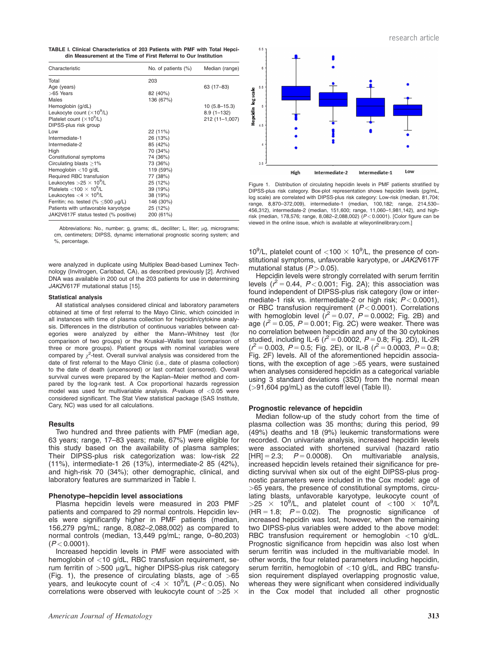TABLE I. Clinical Characteristics of 203 Patients with PMF with Total Hepcidin Measurement at the Time of First Referral to Our Institution

| Characteristic                                | No. of patients (%) | Median (range)   |
|-----------------------------------------------|---------------------|------------------|
| Total                                         | 203                 |                  |
| Age (years)                                   |                     | 63 (17-83)       |
| >65 Years                                     | 82 (40%)            |                  |
| Males                                         | 136 (67%)           |                  |
| Hemoglobin (g/dL)                             |                     | $10(5.8 - 15.3)$ |
| Leukocyte count $(\times 10^9/L)$             |                     | $8.9(1 - 132)$   |
| Platelet count $(\times 10^9/L)$              |                     | 212 (11-1,007)   |
| DIPSS-plus risk group                         |                     |                  |
| Low                                           | 22 (11%)            |                  |
| Intermediate-1                                | 26 (13%)            |                  |
| Intermediate-2                                | 85 (42%)            |                  |
| High                                          | 70 (34%)            |                  |
| Constitutional symptoms                       | 74 (36%)            |                  |
| Circulating blasts $\geq$ 1%                  | 73 (36%)            |                  |
| Hemoglobin $<$ 10 g/dL                        | 119 (59%)           |                  |
| Required RBC transfusion                      | 77 (38%)            |                  |
| Leukocytes $>25 \times 10^9$ /L               | 25 (12%)            |                  |
| Platelets $<$ 100 $\times$ 10 <sup>9</sup> /L | 39 (19%)            |                  |
| Leukocytes $<$ 4 $\times$ 10 <sup>9</sup> /L  | 38 (19%)            |                  |
| Ferritin; no. tested (% $\leq$ 500 µg/L)      | 146 (30%)           |                  |
| Patients with unfavorable karyotype           | 25 (12%)            |                  |
| JAK2V617F status tested (% positive)          | 200 (61%)           |                  |

Abbreviations: No., number; g, grams; dL, deciliter; L, liter; µg, micrograms;<br>cm, centimeters; DIPSS, dynamic international prognostic scoring system; and %, percentage.

were analyzed in duplicate using Multiplex Bead-based Luminex Technology (Invitrogen, Carlsbad, CA), as described previously [2]. Archived DNA was available in 200 out of the 203 patients for use in determining JAK2V617F mutational status [15].

#### Statistical analysis

All statistical analyses considered clinical and laboratory parameters obtained at time of first referral to the Mayo Clinic, which coincided in all instances with time of plasma collection for hepcidin/cytokine analysis. Differences in the distribution of continuous variables between categories were analyzed by either the Mann–Whitney test (for comparison of two groups) or the Kruskal–Wallis test (comparison of three or more groups). Patient groups with nominal variables were compared by  $\chi^2$ -test. Overall survival analysis was considered from the date of first referral to the Mayo Clinic (i.e., date of plasma collection) to the date of death (uncensored) or last contact (censored). Overall survival curves were prepared by the Kaplan–Meier method and compared by the log-rank test. A Cox proportional hazards regression model was used for multivariable analysis.  $P$ -values of  $<$ 0.05 were considered significant. The Stat View statistical package (SAS Institute, Cary, NC) was used for all calculations.

#### **Results**

Two hundred and three patients with PMF (median age, 63 years; range, 17–83 years; male, 67%) were eligible for this study based on the availability of plasma samples; Their DIPSS-plus risk categorization was: low-risk 22 (11%), intermediate-1 26 (13%), intermediate-2 85 (42%), and high-risk 70 (34%); other demographic, clinical, and laboratory features are summarized in Table I.

#### Phenotype–hepcidin level associations

Plasma hepcidin levels were measured in 203 PMF patients and compared to 29 normal controls. Hepcidin levels were significantly higher in PMF patients (median, 156,279 pg/mL; range, 8,082–2,088,002) as compared to normal controls (median, 13,449 pg/mL; range, 0–80,203)  $(P < 0.0001)$ .

Increased hepcidin levels in PMF were associated with hemoglobin of <10 g/dL, RBC transfusion requirement, serum ferritin of  $>500$   $\mu$ g/L, higher DIPSS-plus risk category (Fig. 1), the presence of circulating blasts, age of  $>65$ years, and leukocyte count of  $\langle 4 \times 10^9$ /L (P $\langle 0.05 \rangle$ . No correlations were observed with leukocyte count of  $>$ 25  $\times$ 



Figure 1. Distribution of circulating hepcidin levels in PMF patients stratified by DIPSS-plus risk category. Box-plot representation shows hepcidin levels (pg/mL, log scale) are correlated with DIPSS-plus risk category: Low-risk (median, 81,704; range, 8,870–372,009), intermediate-1 (median, 100,182; range, 214,530– 456,312), intermediate-2 (median, 151,600; range, 11,060–1,981,142), and highrisk (median, 178,576; range, 8,082–2,088,002) (P < 0.0001). [Color figure can be viewed in the online issue, which is available at [wileyonlinelibrary.com.](wileyonlinelibrary.com)]

10<sup>9</sup>/L, platelet count of <100  $\times$  10<sup>9</sup>/L, the presence of constitutional symptoms, unfavorable karyotype, or JAK2V617F mutational status  $(P > 0.05)$ .

Hepcidin levels were strongly correlated with serum ferritin levels ( $t^2$  = 0.44, P < 0.001; Fig. 2A); this association was found independent of DIPSS-plus risk category (low or intermediate-1 risk vs. intermediate-2 or high risk;  $P < 0.0001$ ), or RBC transfusion requirement  $(P < 0.0001)$ . Correlations with hemoglobin level  $(r^2 = 0.07, P = 0.0002, F$ ig. 2B) and age ( $t^2$  = 0.05, P = 0.001; Fig. 2C) were weaker. There was no correlation between hepcidin and any of the 30 cytokines studied, including IL-6 ( $t^2$  = 0.0002, P = 0.8; Fig. 2D), IL-2R  $(r^2 = 0.003, P = 0.5;$  Fig. 2E), or IL-8  $(r^2 = 0.0003, P = 0.8;$ Fig. 2F) levels. All of the aforementioned hepcidin associations, with the exception of age  $>65$  years, were sustained when analyses considered hepcidin as a categorical variable using 3 standard deviations (3SD) from the normal mean (>91,604 pg/mL) as the cutoff level (Table II).

#### Prognostic relevance of hepcidin

Median follow-up of the study cohort from the time of plasma collection was 35 months; during this period, 99 (49%) deaths and 18 (9%) leukemic transformations were recorded. On univariate analysis, increased hepcidin levels were associated with shortened survival (hazard ratio  $[HR] = 2.3;$   $P = 0.0008$ . On multivariable analysis, increased hepcidin levels retained their significance for predicting survival when six out of the eight DIPSS-plus prognostic parameters were included in the Cox model: age of >65 years, the presence of constitutional symptoms, circulating blasts, unfavorable karyotype, leukocyte count of  $>$ 25  $\times$  10<sup>9</sup>/L, and platelet count of <100  $\times$  10<sup>9</sup>/L  $(HR = 1.8; P = 0.02)$ . The prognostic significance of increased hepcidin was lost, however, when the remaining two DIPSS-plus variables were added to the above model: RBC transfusion requirement or hemoglobin <10 g/dL. Prognostic significance from hepcidin was also lost when serum ferritin was included in the multivariable model. In other words, the four related parameters including hepcidin, serum ferritin, hemoglobin of <10 g/dL, and RBC transfusion requirement displayed overlapping prognostic value, whereas they were significant when considered individually in the Cox model that included all other prognostic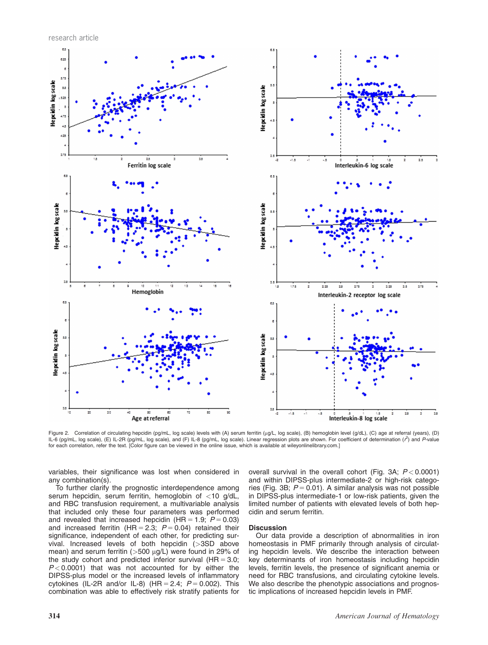research article



Figure 2. Correlation of circulating hepcidin (pg/mL, log scale) levels with (A) serum ferritin (µg/L, log scale), (B) hemoglobin level (g/dL), (C) age at referral (years), (D) IL-6 (pg/mL, log scale), (E) IL-2R (pg/mL, log scale), and (F) IL-8 (pg/mL, log scale). Linear regression plots are shown. For coefficient of determination ( $r^2$ ) and P-value for each correlation, refer the text. [Color figure can be viewed in the online issue, which is available at<wileyonlinelibrary.com>.]

variables, their significance was lost when considered in any combination(s).

To further clarify the prognostic interdependence among serum hepcidin, serum ferritin, hemoglobin of <10 g/dL, and RBC transfusion requirement, a multivariable analysis that included only these four parameters was performed and revealed that increased hepcidin (HR = 1.9;  $P = 0.03$ ) and increased ferritin (HR = 2.3;  $P = 0.04$ ) retained their significance, independent of each other, for predicting survival. Increased levels of both hepcidin (>3SD above mean) and serum ferritin ( $>500$   $\mu$ g/L) were found in 29% of the study cohort and predicted inferior survival  $(HR = 3.0;$  $P < 0.0001$ ) that was not accounted for by either the DIPSS-plus model or the increased levels of inflammatory cytokines (IL-2R and/or IL-8) (HR = 2.4;  $P = 0.002$ ). This combination was able to effectively risk stratify patients for overall survival in the overall cohort (Fig. 3A;  $P < 0.0001$ ) and within DIPSS-plus intermediate-2 or high-risk categories (Fig. 3B;  $P = 0.01$ ). A similar analysis was not possible in DIPSS-plus intermediate-1 or low-risk patients, given the limited number of patients with elevated levels of both hepcidin and serum ferritin.

#### **Discussion**

Our data provide a description of abnormalities in iron homeostasis in PMF primarily through analysis of circulating hepcidin levels. We describe the interaction between key determinants of iron homeostasis including hepcidin levels, ferritin levels, the presence of significant anemia or need for RBC transfusions, and circulating cytokine levels. We also describe the phenotypic associations and prognostic implications of increased hepcidin levels in PMF.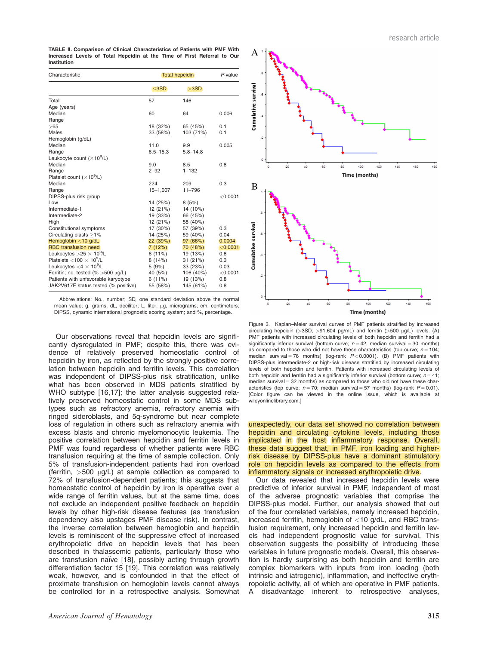TABLE II. Comparison of Clinical Characteristics of Patients with PMF With Increased Levels of Total Hepcidin at the Time of First Referral to Our Institution

| Characteristic                                | <b>Total hepcidin</b> |              | P-value  |
|-----------------------------------------------|-----------------------|--------------|----------|
|                                               | $3SD$                 | >3SD         |          |
| Total                                         | 57                    | 146          |          |
| Age (years)                                   |                       |              |          |
| Median                                        | 60                    | 64           | 0.006    |
| Range                                         |                       |              |          |
| >65                                           | 18 (32%)              | 65 (45%)     | 0.1      |
| Males                                         | 33 (58%)              | 103 (71%)    | 0.1      |
| Hemoglobin (g/dL)                             |                       |              |          |
| Median                                        | 11.0                  | 9.9          | 0.005    |
| Range                                         | $6.5 - 15.3$          | $5.8 - 14.8$ |          |
| Leukocyte count $(\times 10^9/L)$             |                       |              |          |
| Median                                        | 9.0                   | 8.5          | 0.8      |
| Range                                         | $2 - 92$              | $1 - 132$    |          |
| Platelet count $(\times 10^9/L)$              |                       |              |          |
| Median                                        | 224                   | 209          | 0.3      |
| Range                                         | 15-1,007              | $11 - 796$   |          |
| DIPSS-plus risk group                         |                       |              | < 0.0001 |
| Low                                           | 14 (25%)              | 8(5%)        |          |
| Intermediate-1                                | 12 (21%)              | 14 (10%)     |          |
| Intermediate-2                                | 19 (33%)              | 66 (45%)     |          |
| High                                          | 12 (21%)              | 58 (40%)     |          |
| Constitutional symptoms                       | 17 (30%)              | 57 (39%)     | 0.3      |
| Circulating blasts $>1\%$                     | 14 (25%)              | 59 (40%)     | 0.04     |
| Hemoglobin $<$ 10 g/dL                        | 22(39%)               | 97(66%)      | 0.0004   |
| <b>RBC</b> transfusion need                   | 7(12%)                | 70 (48%)     | < 0.0001 |
| Leukocytes $>25 \times 10^9$ /L               | 6(11%)                | 19 (13%)     | 0.8      |
| Platelets $<$ 100 $\times$ 10 <sup>9</sup> /L | 8(14%)                | 31 (21%)     | 0.3      |
| Leukocytes $<$ 4 $\times$ 10 <sup>9</sup> /L  | 5(9%)                 | 33 (23%)     | 0.03     |
| Ferritin; no. tested $(\% > 500 \mu g/L)$     | 40 (5%)               | 106 (40%)    | < 0.0001 |
| Patients with unfavorable karyotype           | 6(11%)                | 19 (13%)     | 0.8      |
| JAK2V617F status tested (% positive)          | 55 (58%)              | 145 (61%)    | 0.8      |

Abbreviations: No., number; SD, one standard deviation above the normal mean value; g, grams; dL, deciliter; L, liter; µg, micrograms; cm, centimeters; DIPSS, dynamic international prognostic scoring system; and %, percentage.

Our observations reveal that hepcidin levels are significantly dysregulated in PMF; despite this, there was evidence of relatively preserved homeostatic control of hepcidin by iron, as reflected by the strongly positive correlation between hepcidin and ferritin levels. This correlation was independent of DIPSS-plus risk stratification, unlike what has been observed in MDS patients stratified by WHO subtype [16,17]; the latter analysis suggested relatively preserved homeostatic control in some MDS subtypes such as refractory anemia, refractory anemia with ringed sideroblasts, and 5q-syndrome but near complete loss of regulation in others such as refractory anemia with excess blasts and chronic myelomonocytic leukemia. The positive correlation between hepcidin and ferritin levels in PMF was found regardless of whether patients were RBC transfusion requiring at the time of sample collection. Only 5% of transfusion-independent patients had iron overload (ferritin,  $>500$   $\mu$ g/L) at sample collection as compared to 72% of transfusion-dependent patients; this suggests that homeostatic control of hepcidin by iron is operative over a wide range of ferritin values, but at the same time, does not exclude an independent positive feedback on hepcidin levels by other high-risk disease features (as transfusion dependency also upstages PMF disease risk). In contrast, the inverse correlation between hemoglobin and hepcidin levels is reminiscent of the suppressive effect of increased erythropoietic drive on hepcidin levels that has been described in thalassemic patients, particularly those who are transfusion naïve [18], possibly acting through growth differentiation factor 15 [19]. This correlation was relatively weak, however, and is confounded in that the effect of proximate transfusion on hemoglobin levels cannot always be controlled for in a retrospective analysis. Somewhat



Figure 3. Kaplan–Meier survival curves of PMF patients stratified by increased circulating hepcidin ( $>3SD$ ;  $>91,604$  pg/mL) and ferritin ( $>500$   $\mu$ g/L) levels. (A) PMF patients with increased circulating levels of both hepcidin and ferritin had a significantly inferior survival (bottom curve;  $n = 42$ ; median survival = 30 months) as compared to those who did not have these characteristics (top curve;  $n = 104$ ; median survival = 76 months) (log-rank  $P < 0.0001$ ). (B) PMF patients with DIPSS-plus intermediate-2 or high-risk disease stratified by increased circulating levels of both hepcidin and ferritin. Patients with increased circulating levels of both hepcidin and ferritin had a significantly inferior survival (bottom curve;  $n = 41$ ; median survival  $= 32$  months) as compared to those who did not have these characteristics (top curve;  $n = 70$ ; median survival = 57 months) (log-rank  $P = 0.01$ ). [Color figure can be viewed in the online issue, which is available at [wileyonlinelibrary.com.](wileyonlinelibrary.com)]

unexpectedly, our data set showed no correlation between hepcidin and circulating cytokine levels, including those implicated in the host inflammatory response. Overall, these data suggest that, in PMF, iron loading and higherrisk disease by DIPSS-plus have a dominant stimulatory role on hepcidin levels as compared to the effects from inflammatory signals or increased erythropoietic drive.

Our data revealed that increased hepcidin levels were predictive of inferior survival in PMF, independent of most of the adverse prognostic variables that comprise the DIPSS-plus model. Further, our analysis showed that out of the four correlated variables, namely increased hepcidin, increased ferritin, hemoglobin of <10 g/dL, and RBC transfusion requirement, only increased hepcidin and ferritin levels had independent prognostic value for survival. This observation suggests the possibility of introducing these variables in future prognostic models. Overall, this observation is hardly surprising as both hepcidin and ferritin are complex biomarkers with inputs from iron loading (both intrinsic and iatrogenic), inflammation, and ineffective erythropoietic activity, all of which are operative in PMF patients. A disadvantage inherent to retrospective analyses,